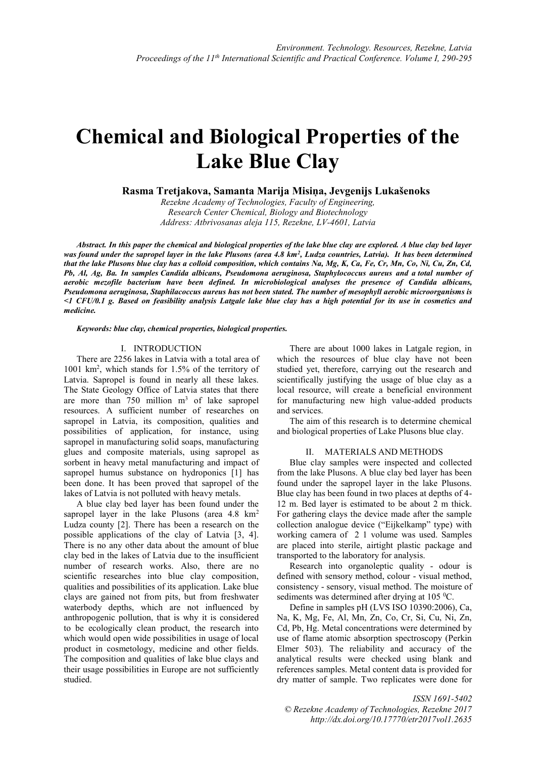# **Chemical and Biological Properties of the Lake Blue Clay**

**Rasma Tretjakova, Samanta Marija Misiņa, Jevgenijs Lukašenoks**

*Rezekne Academy of Technologies, Faculty of Engineering, Research Center Chemical, Biology and Biotechnology Address: Atbrivosanas aleja 115, Rezekne, LV-4601, Latvia*

*Abstract. In this paper the chemical and biological properties of the lake blue clay are explored. A blue clay bed layer was found under the sapropel layer in the lake Plusons (area 4.8 km<sup>2</sup> , Ludza countries, Latvia). It has been determined that the lake Plusons blue clay has a colloid composition, which contains Na, Mg, K, Ca, Fe, Cr, Mn, Co, Ni, Cu, Zn, Cd, Pb, Al, Ag, Ba. In samples Candida albicans, Pseudomona aeruginosa, Staphylococcus aureus and a total number of aerobic mezofile bacterium have been defined. In microbiological analyses the presence of Candida albicans, Pseudomona aeruginosa, Staphilacoccus aureus has not been stated. The number of mesophyll aerobic microorganisms is <1 CFU/0.1 g. Based on feasibility analysis Latgale lake blue clay has a high potential for its use in cosmetics and medicine.*

*Keywords: blue clay, chemical properties, biological properties.*

### I. INTRODUCTION

There are 2256 lakes in Latvia with a total area of 1001 km<sup>2</sup> , which stands for 1.5% of the territory of Latvia. Sapropel is found in nearly all these lakes. The State Geology Office of Latvia states that there are more than  $750$  million  $m<sup>3</sup>$  of lake sapropel resources. A sufficient number of researches on sapropel in Latvia, its composition, qualities and possibilities of application, for instance, using sapropel in manufacturing solid soaps, manufacturing glues and composite materials, using sapropel as sorbent in heavy metal manufacturing and impact of sapropel humus substance on hydroponics [1] has been done. It has been proved that sapropel of the lakes of Latvia is not polluted with heavy metals.

A blue clay bed layer has been found under the sapropel layer in the lake Plusons (area  $4.8 \text{ km}^2$ ) Ludza county [2]. There has been a research on the possible applications of the clay of Latvia [3, 4]. There is no any other data about the amount of blue clay bed in the lakes of Latvia due to the insufficient number of research works. Also, there are no scientific researches into blue clay composition, qualities and possibilities of its application. Lake blue clays are gained not from pits, but from freshwater waterbody depths, which are not influenced by anthropogenic pollution, that is why it is considered to be ecologically clean product, the research into which would open wide possibilities in usage of local product in cosmetology, medicine and other fields. The composition and qualities of lake blue clays and their usage possibilities in Europe are not sufficiently studied.

There are about 1000 lakes in Latgale region, in which the resources of blue clay have not been studied yet, therefore, carrying out the research and scientifically justifying the usage of blue clay as a local resource, will create a beneficial environment for manufacturing new high value-added products and services.

The aim of this research is to determine chemical and biological properties of Lake Plusons blue clay.

## II. MATERIALS AND METHODS

Blue clay samples were inspected and collected from the lake Plusons. A blue clay bed layer has been found under the sapropel layer in the lake Plusons. Blue clay has been found in two places at depths of 4- 12 m. Bed layer is estimated to be about 2 m thick. For gathering clays the device made after the sample collection analogue device ("Eijkelkamp" type) with working camera of 2 1 volume was used. Samples are placed into sterile, airtight plastic package and transported to the laboratory for analysis.

Research into organoleptic quality - odour is defined with sensory method, colour - visual method, consistency - sensory, visual method. The moisture of sediments was determined after drying at  $105 \degree C$ .

Define in samples pH (LVS ISO 10390:2006), Ca, Na, K, Mg, Fe, Al, Mn, Zn, Co, Cr, Si, Cu, Ni, Zn, Cd, Pb, Hg. Metal concentrations were determined by use of flame atomic absorption spectroscopy (Perkin Elmer 503). The reliability and accuracy of the analytical results were checked using blank and references samples. Metal content data is provided for dry matter of sample. Two replicates were done for

# *ISSN 1691-5402 © Rezekne Academy of Technologies, Rezekne 2017 <http://dx.doi.org/10.17770/etr2017vol1.2635>*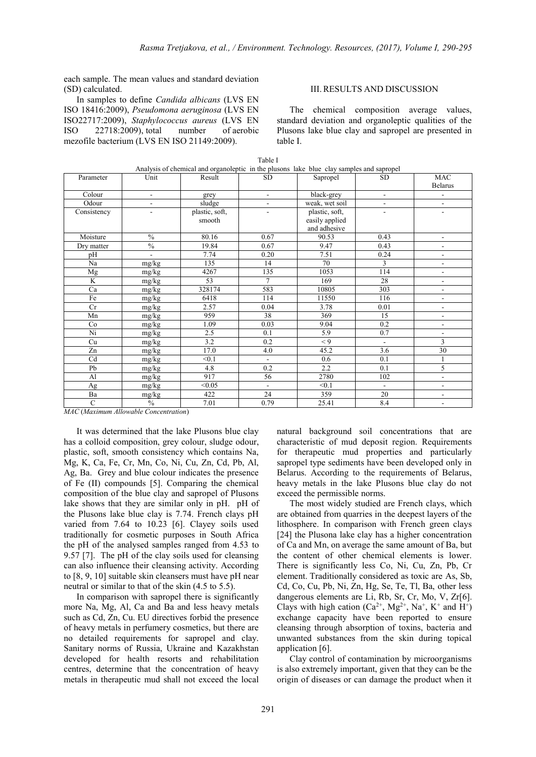each sample. The mean values and standard deviation (SD) calculated.

In samples to define *Candida albicans* (LVS EN ISO 18416:2009), *Pseudomona aeruginosa* (LVS EN ISO22717:2009), *Staphylococcus aureus* (LVS EN ISO 22718:2009), total number of aerobic mezofile bacterium (LVS EN ISO 21149:2009).

#### III.RESULTS AND DISCUSSION

The chemical composition average values, standard deviation and organoleptic qualities of the Plusons lake blue clay and sapropel are presented in table I.

| Parameter    | Unit                     | Result         | <b>SD</b>                | Sapropel       | SD.                      | <b>MAC</b><br><b>Belarus</b> |
|--------------|--------------------------|----------------|--------------------------|----------------|--------------------------|------------------------------|
| Colour       | $\overline{\phantom{m}}$ | grey           | $\overline{\phantom{a}}$ | black-grey     | $\overline{\phantom{a}}$ | $\overline{\phantom{a}}$     |
| Odour        | ۰                        | sludge         | $\blacksquare$           | weak, wet soil | $\overline{\phantom{a}}$ | $\blacksquare$               |
| Consistency  | ۰                        | plastic, soft, | $\overline{\phantom{a}}$ | plastic, soft, | $\blacksquare$           | $\blacksquare$               |
|              |                          | smooth         |                          | easily applied |                          |                              |
|              |                          |                |                          | and adhesive   |                          |                              |
| Moisture     | $\frac{0}{0}$            | 80.16          | 0.67                     | 90.53          | 0.43                     | $\blacksquare$               |
| Dry matter   | $\frac{0}{0}$            | 19.84          | 0.67                     | 9.47           | 0.43                     | $\overline{\phantom{a}}$     |
| pH           |                          | 7.74           | 0.20                     | 7.51           | 0.24                     | $\overline{\phantom{a}}$     |
| Na           | mg/kg                    | 135            | 14                       | 70             | 3                        | $\blacksquare$               |
| Mg           | mg/kg                    | 4267           | 135                      | 1053           | 114                      | $\blacksquare$               |
| K            | mg/kg                    | 53             | $\overline{7}$           | 169            | 28                       | $\blacksquare$               |
| Ca           | mg/kg                    | 328174         | 583                      | 10805          | 303                      | $\blacksquare$               |
| Fe           | mg/kg                    | 6418           | 114                      | 11550          | 116                      | $\blacksquare$               |
| Cr           | mg/kg                    | 2.57           | 0.04                     | 3.78           | 0.01                     | $\overline{\phantom{a}}$     |
| Mn           | mg/kg                    | 959            | 38                       | 369            | 15                       | $\blacksquare$               |
| Co           | mg/kg                    | 1.09           | 0.03                     | 9.04           | 0.2                      | $\blacksquare$               |
| Ni           | mg/kg                    | $2.5$          | 0.1                      | 5.9            | 0.7                      | $\overline{\phantom{a}}$     |
| Cu           | mg/kg                    | 3.2            | 0.2                      | < 9            | $\overline{\phantom{a}}$ | 3                            |
| Zn           | mg/kg                    | 17.0           | 4.0                      | 45.2           | 3.6                      | 30                           |
| Cd           | mg/kg                    | < 0.1          | $\mathcal{L}$            | 0.6            | 0.1                      |                              |
| Pb           | mg/kg                    | 4.8            | 0.2                      | 2.2            | 0.1                      | 5                            |
| Al           | mg/kg                    | 917            | 56                       | 2780           | 102                      | $\blacksquare$               |
| Ag           | mg/kg                    | < 0.05         | $\mathbf{r}$             | < 0.1          | $\blacksquare$           | $\overline{\phantom{a}}$     |
| Ba           | mg/kg                    | 422            | 24                       | 359            | 20                       | $\overline{\phantom{a}}$     |
| $\mathsf{C}$ | $\frac{0}{0}$            | 7.01           | 0.79                     | 25.41          | 8.4                      | $\blacksquare$               |

Table I Analysis of chemical and organoleptic in the plusons lake blue clay samples and sapropel

*MAC* (*Maximum Allowable Concentration*)

It was determined that the lake Plusons blue clay has a colloid composition, grey colour, sludge odour, plastic, soft, smooth consistency which contains Na, Mg, K, Ca, Fe, Cr, Mn, Co, Ni, Cu, Zn, Cd, Pb, Al, Ag, Ba. Grey and blue colour indicates the presence of Fe (II) compounds [5]. Comparing the chemical composition of the blue clay and sapropel of Plusons lake shows that they are similar only in pH.pH of the Plusons lake blue clay is 7.74. French clays pH varied from 7.64 to 10.23 [6]. Clayey soils used traditionally for cosmetic purposes in South Africa the pH of the analysed samples ranged from 4.53 to 9.57 [7]. The pH of the clay soils used for cleansing can also influence their cleansing activity. According to [8, 9, 10] suitable skin cleansers must have pH near neutral or similar to that of the skin (4.5 to 5.5).

In comparison with sapropel there is significantly more Na, Mg, Al, Ca and Ba and less heavy metals such as Cd, Zn, Cu. EU directives forbid the presence of heavy metals in perfumery cosmetics, but there are no detailed requirements for sapropel and clay. Sanitary norms of Russia, Ukraine and Kazakhstan developed for health resorts and rehabilitation centres, determine that the concentration of heavy metals in therapeutic mud shall not exceed the local

natural background soil concentrations that are characteristic of mud deposit region. Requirements for therapeutic mud properties and particularly sapropel type sediments have been developed only in Belarus. According to the requirements of Belarus, heavy metals in the lake Plusons blue clay do not exceed the permissible norms.

The most widely studied are French clays, which are obtained from quarries in the deepest layers of the lithosphere. In comparison with French green clays [24] the Plusona lake clay has a higher concentration of Ca and Mn, on average the same amount of Ba, but the content of other chemical elements is lower. There is significantly less Co, Ni, Cu, Zn, Pb, Cr element. Traditionally considered as toxic are As, Sb, Cd, Co, Cu, Pb, Ni, Zn, Hg, Se, Te, Tl, Ba, other less dangerous elements are Li, Rb, Sr, Cr, Mo, V, Zr[6]. Clays with high cation  $(Ca^{2+}, Mg^{2+}, Na^+, K^+$  and  $H^+)$ exchange capacity have been reported to ensure cleansing through absorption of toxins, bacteria and unwanted substances from the skin during topical application [6].

Clay control of contamination by microorganisms is also extremely important, given that they can be the origin of diseases or can damage the product when it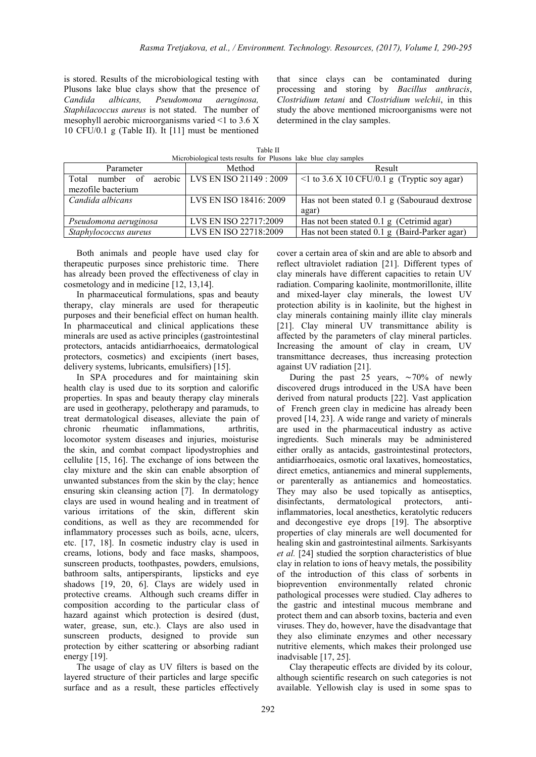is stored. Results of the microbiological testing with Plusons lake blue clays show that the presence of *Candida albicans, Pseudomona aeruginosa, Staphilacoccus aureus* is not stated. The number of mesophyll aerobic microorganisms varied <1 to 3.6 X 10 CFU/0.1 g (Table II). It [11] must be mentioned

that since clays can be contaminated during processing and storing by *Bacillus anthracis*, *Clostridium tetani* and *Clostridium welchii*, in this study the above mentioned microorganisms were not determined in the clay samples.

Table II Microbiological tests results for Plusons lake blue clay samples

| Parameter             | Method                            | Result                                            |  |
|-----------------------|-----------------------------------|---------------------------------------------------|--|
| Total<br>number of    | aerobic   LVS EN ISO 21149 : 2009 | $\leq$ 1 to 3.6 X 10 CFU/0.1 g (Tryptic soy agar) |  |
| mezofile bacterium    |                                   |                                                   |  |
| Candida albicans      | LVS EN ISO 18416: 2009            | Has not been stated 0.1 g (Sabouraud dextrose     |  |
|                       |                                   | agar)                                             |  |
| Pseudomona aeruginosa | LVS EN ISO 22717:2009             | Has not been stated 0.1 g (Cetrimid agar)         |  |
| Staphylococcus aureus | LVS EN ISO 22718:2009             | Has not been stated 0.1 g (Baird-Parker agar)     |  |

Both animals and people have used clay for therapeutic purposes since prehistoric time. There has already been proved the effectiveness of clay in cosmetology and in medicine [12, 13,14].

In pharmaceutical formulations, spas and beauty therapy, clay minerals are used for therapeutic purposes and their beneficial effect on human health. In pharmaceutical and clinical applications these minerals are used as active principles (gastrointestinal protectors, antacids antidiarrhoeaics, dermatological protectors, cosmetics) and excipients (inert bases, delivery systems, lubricants, emulsifiers) [15].

In SPA procedures and for maintaining skin health clay is used due to its sorption and calorific properties. In spas and beauty therapy clay minerals are used in geotherapy, pelotherapy and paramuds, to treat dermatological diseases, alleviate the pain of chronic rheumatic inflammations, arthritis, locomotor system diseases and injuries, moisturise the skin, and combat compact lipodystrophies and cellulite [15, 16]. The exchange of ions between the clay mixture and the skin can enable absorption of unwanted substances from the skin by the clay; hence ensuring skin cleansing action [7]. In dermatology clays are used in wound healing and in treatment of various irritations of the skin, different skin conditions, as well as they are recommended for inflammatory processes such as boils, acne, ulcers, etc. [17, 18]. In cosmetic industry clay is used in creams, lotions, body and face masks, shampoos, sunscreen products, toothpastes, powders, emulsions, bathroom salts, antiperspirants, lipsticks and eye shadows [19, 20, 6]. Clays are widely used in protective creams. Although such creams differ in composition according to the particular class of hazard against which protection is desired (dust, water, grease, sun, etc.). Clays are also used in sunscreen products, designed to provide sun protection by either scattering or absorbing radiant energy [19].

The usage of clay as UV filters is based on the layered structure of their particles and large specific surface and as a result, these particles effectively cover a certain area of skin and are able to absorb and reflect ultraviolet radiation [21]. Different types of clay minerals have different capacities to retain UV radiation. Comparing kaolinite, montmorillonite, illite and mixed-layer clay minerals, the lowest UV protection ability is in kaolinite, but the highest in clay minerals containing mainly illite clay minerals [21]. Clay mineral UV transmittance ability is affected by the parameters of clay mineral particles. Increasing the amount of clay in cream, UV transmittance decreases, thus increasing protection against UV radiation [21].

During the past 25 years, ∼70% of newly discovered drugs introduced in the USA have been derived from natural products [22]. Vast application of French green clay in medicine has already been proved [14, 23]. A wide range and variety of minerals are used in the pharmaceutical industry as active ingredients. Such minerals may be administered either orally as antacids, gastrointestinal protectors, antidiarrhoeaics, osmotic oral laxatives, homeostatics, direct emetics, antianemics and mineral supplements, or parenterally as antianemics and homeostatics. They may also be used topically as antiseptics, disinfectants, dermatological protectors, antiinflammatories, local anesthetics, keratolytic reducers and decongestive eye drops [19]. The absorptive properties of clay minerals are well documented for healing skin and gastrointestinal ailments. Sarkisyants *et al.* [24] studied the sorption characteristics of blue clay in relation to ions of heavy metals, the possibility of the introduction of this class of sorbents in bioprevention environmentally related chronic pathological processes were studied. Clay adheres to the gastric and intestinal mucous membrane and protect them and can absorb toxins, bacteria and even viruses. They do, however, have the disadvantage that they also eliminate enzymes and other necessary nutritive elements, which makes their prolonged use inadvisable [17, 25].

Clay therapeutic effects are divided by its colour, although scientific research on such categories is not available. Yellowish clay is used in some spas to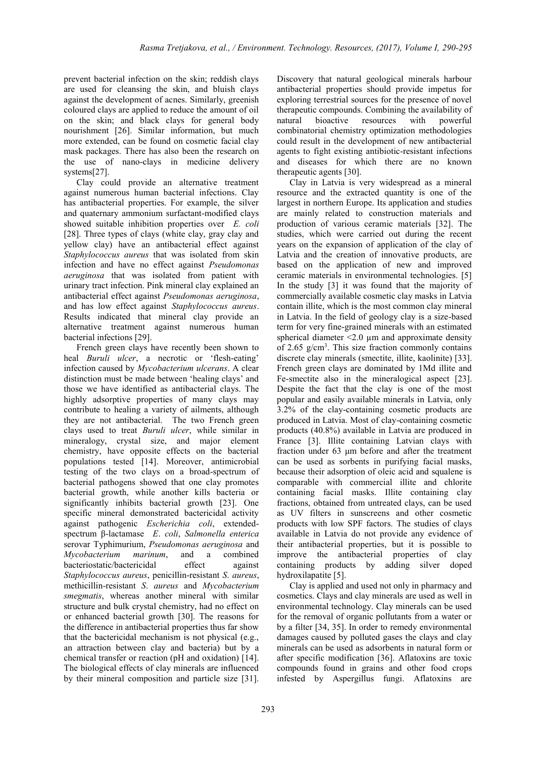prevent bacterial infection on the skin; reddish clays are used for cleansing the skin, and bluish clays against the development of acnes. Similarly, greenish coloured clays are applied to reduce the amount of oil on the skin; and black clays for general body nourishment [26]. Similar information, but much more extended, can be found on cosmetic facial clay mask packages. There has also been the research on the use of nano-clays in medicine delivery systems[27].

Clay could provide an alternative treatment against numerous human bacterial infections. Clay has antibacterial properties. For example, the silver and quaternary ammonium surfactant-modified clays showed suitable inhibition properties over *E. coli* [28]. Three types of clays (white clay, gray clay and yellow clay) have an antibacterial effect against *Staphylococcus aureus* that was isolated from skin infection and have no effect against *Pseudomonas aeruginosa* that was isolated from patient with urinary tract infection. Pink mineral clay explained an antibacterial effect against *Pseudomonas aeruginosa*, and has low effect against *Staphylococcus aureus*. Results indicated that mineral clay provide an alternative treatment against numerous human bacterial infections [29].

French green clays have recently been shown to heal *Buruli ulcer*, a necrotic or 'flesh-eating' infection caused by *Mycobacterium ulcerans*. A clear distinction must be made between 'healing clays' and those we have identified as antibacterial clays. The highly adsorptive properties of many clays may contribute to healing a variety of ailments, although they are not antibacterial. The two French green clays used to treat *Buruli ulcer*, while similar in mineralogy, crystal size, and major element chemistry, have opposite effects on the bacterial populations tested [14]. Moreover, antimicrobial testing of the two clays on a broad-spectrum of bacterial pathogens showed that one clay promotes bacterial growth, while another kills bacteria or significantly inhibits bacterial growth [23]. One specific mineral demonstrated bactericidal activity against pathogenic *Escherichia coli*, extendedspectrum β-lactamase *E*. *coli*, *Salmonella enterica* serovar Typhimurium, *Pseudomonas aeruginosa* and *Mycobacterium marinum*, and a combined bacteriostatic/bactericidal effect against *Staphylococcus aureus*, penicillin-resistant *S*. *aureus*, methicillin-resistant *S*. *aureus* and *Mycobacterium smegmatis*, whereas another mineral with similar structure and bulk crystal chemistry, had no effect on or enhanced bacterial growth [30]. The reasons for the difference in antibacterial properties thus far show that the bactericidal mechanism is not physical (e.g., an attraction between clay and bacteria) but by a chemical transfer or reaction (pH and oxidation) [14]. The biological effects of clay minerals are influenced by their mineral composition and particle size [31].

Discovery that natural geological minerals harbour antibacterial properties should provide impetus for exploring terrestrial sources for the presence of novel therapeutic compounds. Combining the availability of natural bioactive resources with powerful combinatorial chemistry optimization methodologies could result in the development of new antibacterial agents to fight existing antibiotic-resistant infections and diseases for which there are no known therapeutic agents [30].

Clay in Latvia is very widespread as a mineral resource and the extracted quantity is one of the largest in northern Europe. Its application and studies are mainly related to construction materials and production of various ceramic materials [32]. The studies, which were carried out during the recent years on the expansion of application of the clay of Latvia and the creation of innovative products, are based on the application of new and improved ceramic materials in environmental technologies. [5] In the study [3] it was found that the majority of commercially available cosmetic clay masks in Latvia contain illite, which is the most common clay mineral in Latvia. In the field of geology clay is a size-based term for very fine-grained minerals with an estimated spherical diameter  $\leq 2.0 \mu$ m and approximate density of 2.65  $g/cm<sup>3</sup>$ . This size fraction commonly contains discrete clay minerals (smectite, illite, kaolinite) [33]. French green clays are dominated by 1Md illite and Fe-smectite also in the mineralogical aspect [23]. Despite the fact that the clay is one of the most popular and easily available minerals in Latvia, only 3.2% of the clay-containing cosmetic products are produced in Latvia. Most of clay-containing cosmetic products (40.8%) available in Latvia are produced in France [3]. Illite containing Latvian clays with fraction under 63 μm before and after the treatment can be used as sorbents in purifying facial masks, because their adsorption of oleic acid and squalene is comparable with commercial illite and chlorite containing facial masks. Illite containing clay fractions, obtained from untreated clays, can be used as UV filters in sunscreens and other cosmetic products with low SPF factors. The studies of clays available in Latvia do not provide any evidence of their antibacterial properties, but it is possible to improve the antibacterial properties of clay containing products by adding silver doped hydroxilapatite [5].

Clay is applied and used not only in pharmacy and cosmetics. Clays and clay minerals are used as well in environmental technology. Clay minerals can be used for the removal of organic pollutants from a water or by a filter [34, 35]. In order to remedy environmental damages caused by polluted gases the clays and clay minerals can be used as adsorbents in natural form or after specific modification [36]. Aflatoxins are toxic compounds found in grains and other food crops infested by Aspergillus fungi. Aflatoxins are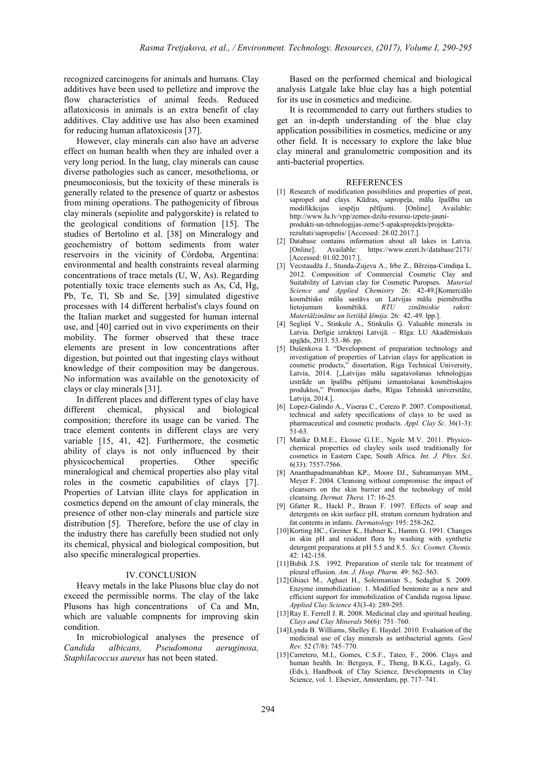recognized carcinogens for animals and humans. Clay additives have been used to pelletize and improve the flow characteristics of animal feeds. Reduced aflatoxicosis in animals is an extra benefit of clay additives. Clay additive use has also been examined for reducing human aflatoxicosis [37].

However, clay minerals can also have an adverse effect on human health when they are inhaled over a very long period. In the lung, clay minerals can cause diverse pathologies such as cancer, mesothelioma, or pneumoconiosis, but the toxicity of these minerals is generally related to the presence of quartz or asbestos from mining operations. The pathogenicity of fibrous clay minerals (sepiolite and palygorskite) is related to the geological conditions of formation [15]. The studies of Bertolino et al. [38] on Mineralogy and geochemistry of bottom sediments from water reservoirs in the vicinity of Córdoba, Argentina: environmental and health constraints reveal alarming concentrations of trace metals (U, W, As). Regarding potentially toxic trace elements such as As, Cd, Hg, Pb, Te, Tl, Sb and Se, [39] simulated digestive processes with 14 different herbalist's clays found on the Italian market and suggested for human internal use, and [40] carried out in vivo experiments on their mobility. The former observed that these trace elements are present in low concentrations after digestion, but pointed out that ingesting clays without knowledge of their composition may be dangerous. No information was available on the genotoxicity of clays or clay minerals [31].

In different places and different types of clay have different chemical, physical and biological composition; therefore its usage can be varied. The trace element contents in different clays are very variable [15, 41, 42]. Furthermore, the cosmetic ability of clays is not only influenced by their physicochemical properties. Other specific mineralogical and chemical properties also play vital roles in the cosmetic capabilities of clays [7]. Properties of Latvian illite clays for application in cosmetics depend on the amount of clay minerals, the presence of other non-clay minerals and particle size distribution [5]. Therefore, before the use of clay in the industry there has carefully been studied not only its chemical, physical and biological composition, but also specific mineralogical properties.

# IV.CONCLUSION

Heavy metals in the lake Plusons blue clay do not exceed the permissible norms. The clay of the lake Plusons has high concentrations of Ca and Mn, which are valuable compnents for improving skin condition.

In microbiological analyses the presence of *Candida albicans, Pseudomona aeruginosa, Staphilacoccus aureus* has not been stated.

Based on the performed chemical and biological analysis Latgale lake blue clay has a high potential for its use in cosmetics and medicine.

It is recommended to carry out furthers studies to get an in-depth understanding of the blue clay application possibilities in cosmetics, medicine or any other field. It is necessary to explore the lake blue clay mineral and granulometric composition and its anti-bacterial properties.

#### REFERENCES

- [1] Research of modification possibilities and properties of peat, sapropel and clays. Kūdras, sapropeļa, mālu īpašību un modifikācijas iespēju pētījumi. [Online]. Available: [http://www.lu.lv/vpp/zemes-dzilu-resursu-izpete-jauni](http://www.lu.lv/vpp/zemes-dzilu-resursu-izpete-jauni-produkti-un-tehnologijas-zeme/5-apaksprojekts/projekta-rezultati/sapropelis/%20%5bAccessed)[produkti-un-tehnologijas-zeme/5-apaksprojekts/projekta](http://www.lu.lv/vpp/zemes-dzilu-resursu-izpete-jauni-produkti-un-tehnologijas-zeme/5-apaksprojekts/projekta-rezultati/sapropelis/%20%5bAccessed)[rezultati/sapropelis/ \[Accessed:](http://www.lu.lv/vpp/zemes-dzilu-resursu-izpete-jauni-produkti-un-tehnologijas-zeme/5-apaksprojekts/projekta-rezultati/sapropelis/%20%5bAccessed) 28.02.2017.].
- [2] Database contains information about all lakes in Latvia. [Online]. Available: <https://www.ezeri.lv/database/2171/> [Accessed: 01.02.2017.].
- [3] Vecstaudža J., Stunda-Zujeva A., Irbe Z., Bērziņa-Cimdiņa L. 2012. Composition of Commercial Cosmetic Clay and Suitability of Latvian clay for Cosmetic Puropses. *Material Science and Applied Chemistry* 26: 42-49.[Komerciālo kosmētisko mālu sastāvs un Latvijas mālu piemērotība lietojumam kosmētikā. *RTU zinātniskie raksti: Materiālzinātne un lietišķā ķīmija.* 26: 42.-49. lpp.].
- [4] Segliņš V., Stinkule A., Stinkulis Ģ. Valuable minerals in Latvia. Derīgie izrakteņi Latvijā. – Rīga: LU Akadēmiskais apgāds, 2013. 53.-86. pp.
- [5] Dušenkova I. "Development of preparation technology and investigation of properties of Latvian clays for application in cosmetic products," dissertation, [Riga Technical University,](https://www.google.lv/url?sa=t&rct=j&q=&esrc=s&source=web&cd=8&cad=rja&uact=8&ved=0ahUKEwi8icyc8ofTAhXKFSwKHS5fA5EQFggzMAc&url=https%3A%2F%2Fen.wikipedia.org%2Fwiki%2FRiga_Technical_University&usg=AFQjCNHjIF79rslx6pph4hyH5MaeMnoAiA)  Latvia, 2014. ["Latvijas mālu sagatavošanas tehnoloģijas izstrāde un īpašību pētījumi izmantošanai kosmētiskajos produktos," Promocijas darbs, Rīgas Tehniskā universitāte, Latvija, 2014.].
- [6] Lopez-Galindo A., Viseras C., Cerezo P. 2007. Compositional, technical and safety specifications of clays to be used as pharmaceutical and cosmetic products. *Appl. Clay Sc*. 36(1-3): 51-63.
- [7] Matike D.M.E., Ekosse G.I.E., Ngole M.V. 2011. Physicochemical properties od clayley soils used traditionally for cosmetics in Eastern Cape, South Africa. *Int. J. Phys. Sci*. 6(33): 7557-7566.
- [8] Ananthapadmanabhan KP., Moore DJ., Subramanyan MM., Meyer F. 2004. Cleansing without compromise: the impact of cleansers on the skin barrier and the technology of mild cleansing. *Dermat. Thera.* 17: 16-25*.*
- [9] Gfatter R., Hackl P., Braun F. 1997. Effects of soap and detergents on skin surface pH, stratum corneum hydration and fat contents in infants. *Dermatology* 195: 258-262.
- [10]Korting HC., Greiner K., Hubner K., Hamm G. 1991. Changes in skin pH and resident flora by washing with synthetic detergent preparations at pH 5.5 and 8.5. *Sci. Cosmet. Chemis.* 42: 142-158.
- [11]Bubik J.S. 1992. Preparation of sterile talc for treatment of pleural effusion. *Am. J. Hosp. Pharm.* 49: 562–563.
- [12]Ghiaci M., Aghaei H., Soleimanian S., Sedaghat S. 2009. Enzyme immobilization: 1. Modified bentonite as a new and efficient support for immobilization of Candida rugosa lipase. *Applied Clay Science* 43(3-4): 289-295.
- [13] Ray E. Ferrell J. R. 2008. Medicinal clay and spiritual healing. *Clays and Clay Minerals* 56(6): 751–760.
- [14]Lynda B. Williams, Shelley E. Haydel. 2010. Evaluation of the medicinal use of clay minerals as antibacterial agents. *Geol Rev.* 52 (7/8): 745–770.
- [15]Carretero, M.I., Gomes, C.S.F., Tateo, F., 2006. Clays and human health. In: Bergaya, F., Theng, B.K.G., Lagaly, G. (Eds.), Handbook of Clay Science, Developments in Clay Science, vol. 1. Elsevier, Amsterdam, pp. 717–741.